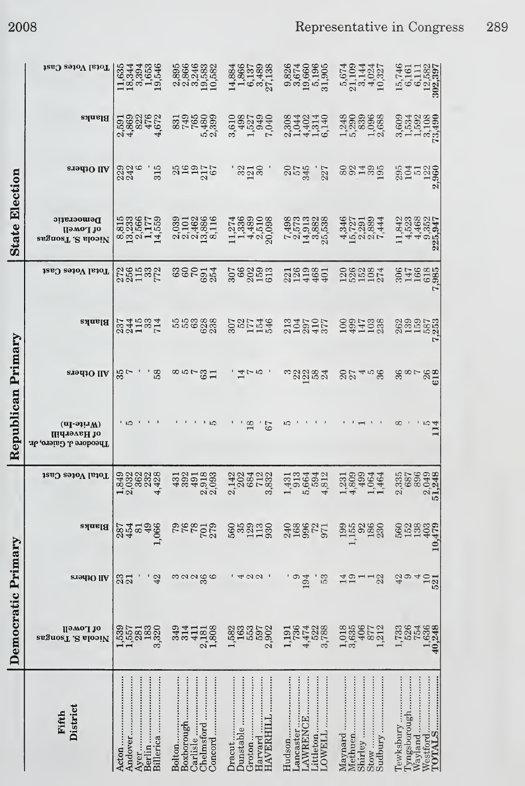|                       | Total Votes Cast                                 | $\begin{array}{c} 11834 \\ 18344 \\ 19434 \\ 1954 \\ \end{array}$ | 239566<br>23866<br>23883<br>202382<br>2023                | $\begin{array}{c} 14,884 \\ 14,866 \\ 1,866 \\ 6,137 \\ 27,138 \\ \end{array}$ | 9,826<br>3,674<br>$\begin{array}{c} 19,660 \\ 5,196 \\ 31,905 \end{array}$       | 5,674<br>21,109<br>3,144<br>4,024<br>10,327      | $\frac{15,746}{6,161}$<br>6,161<br>$\frac{12,582}{302,397}$            |
|-----------------------|--------------------------------------------------|-------------------------------------------------------------------|-----------------------------------------------------------|--------------------------------------------------------------------------------|----------------------------------------------------------------------------------|--------------------------------------------------|------------------------------------------------------------------------|
|                       | <b>Blanks</b>                                    |                                                                   | 831<br>749<br>765<br>5,480<br>2,399                       | 8<br>6482490<br>6482490                                                        | 0040140<br>0040140<br>0040140                                                    |                                                  | 3,609<br>1,534<br>$\frac{1,592}{3,108}$                                |
|                       | and Others                                       | 315<br>223<br>242                                                 | 399770                                                    | 3210                                                                           | 2545<br>2545<br>227                                                              | 88485                                            | 304<br>2045<br>2050<br>2050<br>σÏ                                      |
| <b>State Election</b> | Democratic<br>of Lowell<br>angnosT .E alooiV     | 8158158<br>13236677<br>132559<br>14.559                           | 03010886<br>01014880116<br>010101016                      | $\begin{array}{c} 11,274 \\ 1,336 \\ 4,489 \\ 2,510 \end{array}$<br>20,098     | $\begin{array}{c} 7.498 \\ 7.573 \\ 14.9382 \\ 14.9382 \\ 25.384 \\ \end{array}$ | 4521984<br>552844<br>45284                       | 11,842<br>4,523<br>4,468<br>352<br>947<br>ີດ.<br>ລາວ<br>ລາ             |
|                       | Total Votes Cast                                 | 256532<br>25532                                                   | 300033                                                    | 307<br>80293<br>815                                                            | 2216981<br>2214601                                                               | 120224<br>120227                                 | 3047<br>1456<br>3011<br>3035                                           |
|                       | Blahks                                           | 23745<br>2445<br>22452                                            | 558888                                                    | 307<br>1544<br>1546                                                            | 2134707<br>2007<br>20077                                                         | 1997<br>1997<br>1988                             |                                                                        |
| Primary               | eradio IIA                                       | ة.<br>88<br>$\frac{55}{7}$                                        | 8년 7월 20                                                  | $\frac{4}{7}$ r $\frac{6}{7}$                                                  | n 2284                                                                           | 22458<br>2245                                    | -188<br>26<br>618                                                      |
| Republican            | $(n -$<br>ПідтэувН 10<br>Theodore J. Gaiero, Jr. | ் ம                                                               |                                                           | 18<br>57                                                                       | ທ                                                                                |                                                  | $\overline{\phantom{a}}$ ro $\overline{\phantom{a}}$                   |
|                       | Total Votes Cast                                 |                                                                   | 4302<br>4391<br>918<br>$\alpha \dot{\alpha}$              | 2224232<br>12021232<br>1202123                                                 | 13134313134                                                                      | 499<br>1,231<br>4,809<br>464<br>064              | 2,335<br>687<br>896<br>049<br>248<br>$\mathbf{\Omega}$                 |
|                       | Blanks                                           | 49<br>1,066<br>287<br>454<br>81                                   | <b>625252525</b>                                          | 5603300                                                                        | 24088771                                                                         | $\begin{array}{c} 99 \\ 115 \\ 1 \end{array}$    | 560<br>152<br>138<br>403<br>10,479                                     |
|                       | <b>SIGHTO IIV</b>                                | 42<br>$\frac{33}{21}$                                             | $rac{6}{6}$<br>ကလလ                                        | $\omega$<br>$\overline{4}$                                                     | 194<br>53<br>ග                                                                   | $\frac{4}{19}$<br>$\frac{1}{22}$                 | 42<br>ာ<br>$\frac{10}{521}$<br>4                                       |
| Democratic Primary    | Пэмо. 10<br><b>and Separator</b>                 | 281<br>3,320<br>$1,539$<br>$1,557$                                | 349<br>2,181<br>1,808<br>314<br>411                       | $163$<br>$553$<br>$597$<br>1,582<br>2,902                                      | $1,191$<br>$736$<br>$4,474$<br>522<br>3,788                                      | 1,018<br>3,635<br>406<br>877<br>212              | 1,733<br>526<br>1,636<br>40,248                                        |
|                       | District<br>Fifth                                | Billerica<br>Berlin<br>Andover<br>Ayer<br>Acton                   | Boxborough<br>Chelmsford<br>Bolton<br>Carlisle<br>Concord | Dunstable<br>HAVERHILI<br>Groton<br>Harvard<br>Dracut                          | Hudson<br><b>AWRENCE</b><br>ancaster<br><b>JAMELL</b><br>ittleton                | Stow<br>Sudbury<br>Shirley<br>Maynard<br>Methuen | <br>l'yngsborough<br>Tewksbury<br>Westford<br><b>TOTALS</b><br>Wayland |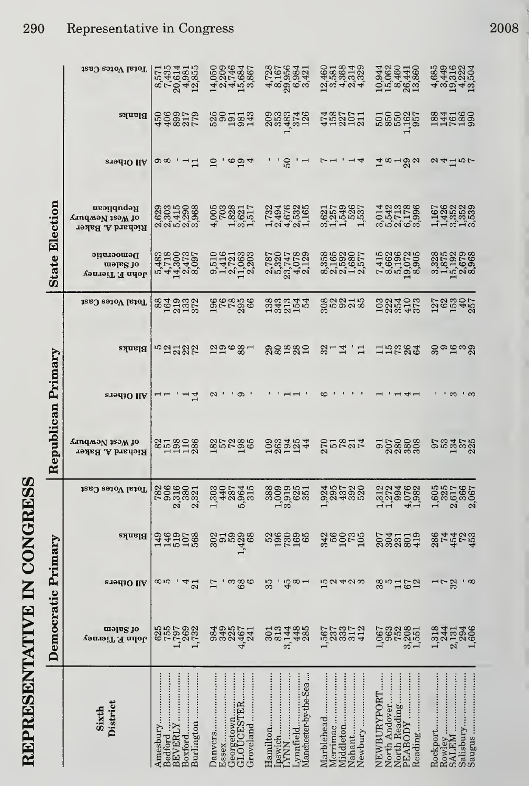|                       | Total Votes Cast                                      | 8,571<br>7,435<br>$20,614$<br>$4,981$<br>$12,855$           | 14,050<br>2,209<br>4,746<br>15,684<br>3,867                  | 4728<br>48568421<br>4898421<br>489868                               | $\begin{array}{c} 12.460 \\ 2.581 \\ 3.5363 \\ 4.834 \\ 4.9329 \end{array}$ | 10,944<br>15,062<br>8,460<br>26,441<br>13,860                       | 4,685<br>4,449<br>4,5,222<br>4,5,504<br>13,13,13                          |
|-----------------------|-------------------------------------------------------|-------------------------------------------------------------|--------------------------------------------------------------|---------------------------------------------------------------------|-----------------------------------------------------------------------------|---------------------------------------------------------------------|---------------------------------------------------------------------------|
|                       | Blahks                                                | 45082179                                                    | 525<br>5953343                                               |                                                                     | 4587521                                                                     | 585825                                                              | 1345299<br>146299                                                         |
|                       | <b>SI9410 IIV</b>                                     | တ ထ<br>$\overline{1}$                                       | $\Omega$<br>$6\overline{a}$ 4                                | 50                                                                  | $\overline{4}$                                                              | ా∞⊣లో                                                               | $a + b$                                                                   |
|                       | Rebaplican<br>Anqmən 1səm jo<br>Richard A. Baker      | 0001000<br>0001000<br>0001000                               | <b>005</b><br>2038<br>$\frac{1,828}{3,521}$<br>₹,            | 13346225<br>1465325<br>104601                                       | 3,621<br>1,549<br>1,536<br>1,537                                            | 123386<br>0411696<br>042169                                         |                                                                           |
| <b>State Election</b> | Democratic<br>mala <sup>8</sup> io<br>John F. Tierney | 5380027<br>57504797<br>541400                               |                                                              | 287078020178202012                                                  | 358<br>35920<br>815690<br>81011                                             |                                                                     | 885888888888888888888                                                     |
|                       | Total Votes Cast                                      | 884932                                                      | <b>982888</b>                                                | 0000144000100011                                                    | <b>323538</b>                                                               | 022403<br>0235403                                                   | 127<br>1929<br>1945<br>2557                                               |
| Primary               | Blanks                                                | <u>nadaya</u>                                               | $22^{\circ}$ $\frac{2}{\circ}$                               | 88≌82                                                               | 271<br>ਂ ਸ਼                                                                 | 15284                                                               | ಲ್ಲಿ ಎನ್ <i>ಲ</i>                                                         |
|                       | All Otpers                                            | نہ س                                                        | ග<br>N                                                       |                                                                     |                                                                             |                                                                     |                                                                           |
| Republican            | Anqmən 1səM jo<br>Richard A. Baker                    | 853288                                                      | 35235                                                        | 1003454                                                             | 278274                                                                      | 558888                                                              | <b>983588</b>                                                             |
|                       | <b>Total Votes Cast</b>                               | <b>7825821</b><br>Congo 21<br>$\mathbf{\alpha}$<br>$\infty$ | 335745                                                       | 8899551<br>⊣ ന                                                      |                                                                             | nd 2000<br>Und 2003<br>$\overline{\phantom{a}}$                     | 6057<br>6057667<br>6067<br>$\mathbf{c}$<br>$\mathbf{a}$<br>$\blacksquare$ |
|                       | Blanks                                                | 146<br>107<br>1088<br>149                                   | $\frac{302}{91}$<br>59<br>1,429<br>68                        | 39000000000                                                         | 3160 mg<br>3160 mg                                                          | 203505                                                              | 864428<br>874788                                                          |
|                       | <b>STALLO IIA</b>                                     | ထယ<br>⇥<br>$\overline{21}$                                  | က<br>$\frac{8}{6}$<br>17                                     | 35<br>45<br>$\infty$ $-$                                            | $\frac{5}{2}$<br>400                                                        | 38<br>3<br>152                                                      | 32<br>$\infty$<br>ᆏᅐ                                                      |
| Democratic Primary    | məla <sup>2</sup> do<br>John F. Tierney               | 269<br>1,732<br><b>755</b><br>1,797<br>625                  | <b>9849</b><br>9349<br>4,467<br>241                          | 448<br>301<br>813<br>3,144                                          | 3357<br>3572<br>1,567<br>237                                                | 3,208<br>1,551<br>963<br>752<br>1,067                               | 1,318<br>$241346$<br>$21346$<br>$1.506$                                   |
|                       | District<br>Sixth                                     | Amesbury<br>Burlington<br>Boxford<br>BEVERLY<br>Bedford     | $D$ anvers<br>GLOUCESTER<br>Essex<br>Georgetown<br>Groveland | Manchester by the Sea<br>[pswich<br>Hamilton.<br>Lynnfield<br>LYNN. | Newbury<br>Merrimac<br>Marblehead<br>Nahant<br>Middleton                    | NEWBURYPORT<br>North Andover<br>North Reading<br>PEABODY<br>Reading | Saugus<br>Salisbury<br>SALEM<br>Rowley<br>Rockport.                       |

## REPRESENTATIVE IN CONGRESS

2008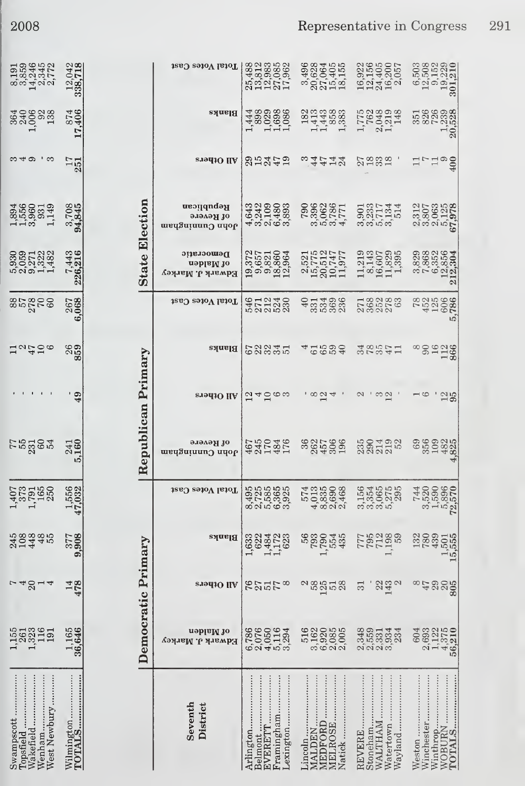| 14,245<br>14,345<br>2,772<br>8,191<br>3,859                            | 12,042<br>338,718                  |                       | Total Votes Cast                            | $\begin{array}{c} 25,488 \\ 25,812 \\ 13,983 \\ 27,085 \\ 17,962 \\ \end{array}$ | 3,496<br>20,628<br>20,405<br>15,405<br>18,155                                   | $\begin{array}{c} 16.922 \\ 156 \\ 14.405 \\ 16.200 \\ 16.7 \\ 20.57 \\ \end{array}$ | $\begin{array}{c} 6,503 \\ 12,508 \\ 9,152 \\ 19,229 \\ 19,239 \\ \end{array}$ |
|------------------------------------------------------------------------|------------------------------------|-----------------------|---------------------------------------------|----------------------------------------------------------------------------------|---------------------------------------------------------------------------------|--------------------------------------------------------------------------------------|--------------------------------------------------------------------------------|
| $1,006$<br>$138$<br>364<br>240                                         | 874<br>904.<br>Ņ<br>$\overline{ }$ |                       | Blanks                                      | 888888<br>02988<br>11089<br>444                                                  | 1921<br>1445893<br>144893                                                       | 1,775<br>762<br>2,048<br>1,219<br>148                                                | 3516<br>3266<br>1,239<br>20,528                                                |
| <u>ಣ 4 ರಾ</u><br>ా ఐ                                                   | $\frac{17}{251}$                   |                       | <b>STALLO IIA</b>                           | <b>SHAFS</b>                                                                     | ै. ये मै मै से                                                                  | 21838                                                                                | 17700                                                                          |
| 1,894<br>1,556<br>3,960<br>$\begin{array}{c} 931 \\ 1,149 \end{array}$ | 3,708<br>94,845                    |                       | Republican<br>of Revere<br>ժմո Сսпатарды    |                                                                                  | 3962<br>3062<br>307771<br>790                                                   | $0.8774$<br>$0.87744$<br>$0.97744$<br>$0.9774$                                       | $\begin{array}{c} 2,312 \\ 3,807 \\ 3,063 \\ 2,125 \\ 67,978 \\ \end{array}$   |
|                                                                        | 7,443<br>226,216                   | <b>State Election</b> | Democratic<br>nehisM 10<br>Каwark J. Магкеу |                                                                                  | $\begin{array}{c} 2.521 \\ 15.775 \\ 20.747 \\ 10.747 \\ 11.977 \\ \end{array}$ | $\frac{16,607}{11,829}$<br>11,8295<br>11,219<br>8,143                                | $7,829$ $7,6358$ $12,8564$ $12,3364$ $212,304$                                 |
| $85,000$<br>$85,000$                                                   | 267<br>068<br>త                    |                       | Total Votes Cast                            | 57230<br>571330<br>5855                                                          | 534<br>369<br>236<br>$\theta$<br>331                                            |                                                                                      | 7823666<br>LO                                                                  |
| 72420                                                                  | $\frac{26}{359}$                   |                       | <b>Blanks</b>                               | ರ ನಿನ್ನಡ<br>ರಾಜನೆ ದ                                                              | 49884                                                                           | 20521128                                                                             | 90<br>112<br>113<br>86<br>8<br>∞                                               |
|                                                                        | ் வ<br>₩                           |                       | <b>Stadio IIA</b>                           | 240<br>ဇာ က                                                                      | $\frac{\infty}{1}$ $\frac{4}{1}$                                                | $\infty$<br>$\frac{30}{11}$                                                          | $\frac{2}{95}$<br>$\rightarrow \infty$                                         |
| <b>F53363</b>                                                          | 241<br>160<br>ນລ້                  | Republican Primary    | от Кеvere<br>աբգՑսյսսոე սգօբ                | 4670040<br>94504<br>92545                                                        | 3627666<br>285266                                                               | 230492                                                                               | 356<br>109<br>4,822<br>4,825<br>69                                             |
| $1,407$<br>$1,791$<br>$1,650$<br>$250$                                 | 556<br>$\frac{1}{47}$              |                       | Total Votes Cast                            | 95<br>970005<br>000000<br>000000                                                 | 57435008<br>503300<br>503004<br>40004                                           | 1564<br>15545<br>60000<br>6000                                                       | $72.5800\n1.58900\n1.5900\n72.570$                                             |
| 448<br>245<br>108<br>48                                                | 377<br>808<br>යා                   |                       | Blanks                                      | 622<br>1,484<br>1,172<br>623<br>1,633                                            | 56<br>793<br>1,790<br>554<br>435                                                | 7792888                                                                              | 132<br>780<br>439<br>$15.501$<br>$15.555$                                      |
| $-48$<br>$\overline{4}$                                                | $\frac{14}{478}$                   |                       | eradiO llA                                  | 822588                                                                           | $\begin{array}{c} 58 \\ 125 \end{array}$<br>$\mathcal{C}$<br>51                 | 22<br>143<br>$\mathbf{\Omega}$<br>$\overline{31}$                                    | $^{76}$<br>29<br>205<br>805                                                    |
| 1,323<br>116<br>$1,155$<br>$261$                                       | 1,165<br>36,646                    | Democratic Primary    | nablaM 10<br>Камагк Ј. Магкеу               | 6786<br>6760184<br>6245234                                                       | 3,162<br>6,920<br>6,085<br>2,005<br>516                                         | 348<br>35531<br>255334<br>234                                                        | 2,693<br>1,122<br>$\frac{4,375}{56,210}$<br>604                                |
| Vest Newbury<br>Venham<br>swampscott<br>Vakefield<br>opsfield          | Wilmington.<br><b>[OTALS</b>       |                       | Seventh<br>District                         | ramingham.<br>krlington<br>exington.<br>VERETT<br>elmont.                        | <b>EDFORD</b><br><b>AELROSE</b><br><b>MALDEN</b><br>.incoln.<br>latick          | stoneham<br>REVERE<br><b>VALTHAM</b><br>Vatertown<br>Vayland                         | Neston<br>NOBURN<br><b>[CTALS</b><br>Vinthrop<br>Vinchester                    |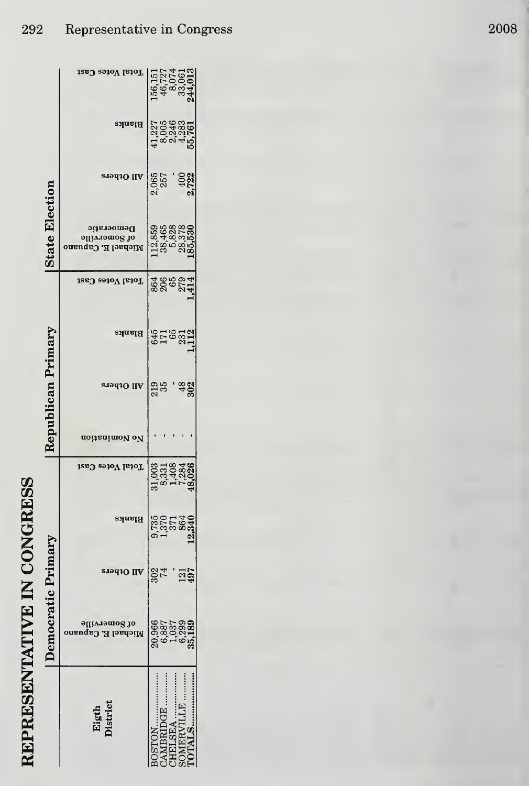|                       | Total Votes Cast                                  | $\begin{array}{r} 156,151 \\ 46,727 \\ 46,074 \\ 8,061 \\ 33,061 \\ 244,013 \end{array}$ |
|-----------------------|---------------------------------------------------|------------------------------------------------------------------------------------------|
|                       | Blanks                                            | $41,227$<br>$40,048$<br>$6,048$<br>$6,048$<br>$6,040$<br>$6,040$                         |
|                       | All Otpers                                        | $2.065$<br>$2.57$<br>$2.722$<br>$2.722$                                                  |
| <b>State Election</b> | Democratic<br>of Somerville<br>Michael E. Capuano | $112,859$<br>$38,4828$<br>$38,378$<br>$28,378$<br>$185,530$                              |
|                       | <b>Total Votes Cast</b>                           | 868504                                                                                   |
|                       | Blanks                                            | 645<br>1763112<br>2112                                                                   |
| Republican Primary    | All Otpers                                        | $219$<br>$35$<br>$-48$<br>302                                                            |
|                       | noitsnimoV oV                                     |                                                                                          |
|                       | Total Votes Cast                                  | 003<br>3,331<br>4,7284<br>48,026<br>48,026                                               |
|                       | Blanks                                            |                                                                                          |
|                       | sıəq10 IIV                                        | 121<br>497<br>$\frac{28}{74}$                                                            |
| Democratic Primary    | əllivrəmo2 10<br>Michael E. Capuano               | 20,966<br>6,887<br>1,037                                                                 |
|                       | Eigth<br>District                                 | <b>ALS</b><br><b>ABRIDGE</b><br><b>AERVIJ</b>                                            |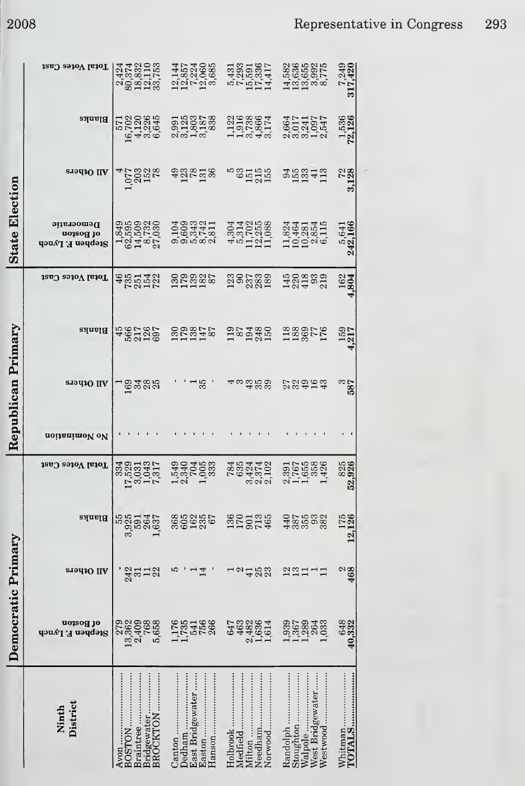|                    | Total Votes Cast                            | 2424<br>00.33710<br>00.33753<br>20.1253                                          | $\begin{array}{c} 12.144 \\ 12.857 \\ 12.060 \\ 12.060 \\ 12.060 \\ \end{array}$ | 5431<br>72931<br>17336<br>174417<br>14417             | $\begin{array}{l} 14.582 \\ 13.6650 \\ 13.992 \\ 0 \\ 0 \\ 0 \\ 0 \\ 0 \\ \end{array}$ | 7,249<br>317,420       |
|--------------------|---------------------------------------------|----------------------------------------------------------------------------------|----------------------------------------------------------------------------------|-------------------------------------------------------|----------------------------------------------------------------------------------------|------------------------|
|                    | <b>Blanks</b>                               | 571<br>16,7226<br>16,7226<br>4,3265<br>6,045                                     | 00108788<br>001087888<br>00100                                                   | 11986014<br>19558614<br>119549                        | 851157<br>861405<br>28105                                                              | <b>1,536</b><br>72,126 |
|                    | All Others                                  | $1,0001$<br>$0,001$<br>$0,000$                                                   | 988558                                                                           | ngning<br>China<br>China                              | 0.00041                                                                                | 3,128                  |
| State Election     | Democratic<br>of Boston<br>Stephen F. Lynch | $\begin{array}{c} 1.849 \\ 62.595 \\ 14.8732 \\ 87.732 \\ 27.939 \end{array}$    |                                                                                  |                                                       | 11,824<br>10,42854<br>10,2854<br>6,115                                                 | 5,641<br>242,166       |
|                    | Total Votes Cast                            | 4851422                                                                          | 888825<br>000825                                                                 | 395388                                                | 1400330<br>1204<br>1203                                                                | 162<br>804             |
|                    | <b>Blanks</b>                               | 4567<br>5677857<br>5871                                                          | 1308875<br>178275                                                                | $13,000$<br>$13,000$                                  | 118807<br>1780<br>176                                                                  | 159<br>4,217           |
| Republican Primary | <b>SI9410 IIV</b>                           | ದ ಹಿತ್ತೆ ಇದೆ.<br>ದೇಶದ ಪ್ರ                                                        | $\frac{1}{35}$                                                                   | 4 မ ဆံ ဆံ ဆံ                                          | 23963                                                                                  | 387<br>587             |
|                    | noitsnimoV oV                               |                                                                                  |                                                                                  |                                                       |                                                                                        |                        |
|                    | Total Votes Cast                            | $\begin{array}{c} 334 \\ 17,031 \\ 3,043 \\ 17,043 \\ 143 \\ 143 \\ \end{array}$ | 12310033<br>1340033<br>134003                                                    | 785<br>763274<br>7637702<br>763702                    | 2,76588<br>2,76588<br>2,16588                                                          | 52,926                 |
|                    | Blanks                                      | 55<br>3,925<br>591<br>264<br>1,637                                               | 86525<br>67                                                                      | 1360<br>1790<br>465                                   | 48755<br>3875<br>93<br>382                                                             | 12,126                 |
|                    | <b>siadiO</b> IIA                           | an<br>2212                                                                       | ю<br>$\frac{14}{1}$                                                              | $\boldsymbol{\mathsf{c}}$<br>23<br>$\frac{4}{ }$      | 2211                                                                                   | $rac{2}{468}$          |
| Democratic Primary | ot Boston<br>Stephen F. Lynch               | 279<br>13,362<br>2,409<br>768<br>5,658                                           | 1,1785<br>541<br>756<br>266                                                      | 463<br>2,482<br>1,636<br>1,614<br>647                 | 1,380<br>1,380<br>1,2804<br>1,033                                                      | 648<br>40,332          |
|                    | District<br>Ninth                           | Bridgewater<br>BROCKTON<br>Braintree<br>BOSTON<br>Avon                           | Dedham<br>East Bridgewater<br>Hanson<br>Easton                                   | Needham<br>Norwood<br>Medfield<br>Milton<br>Holbrook. | Stoughton<br>West Bridgewater<br>Randolph<br>Walpole<br>Westwood                       | TOTALS                 |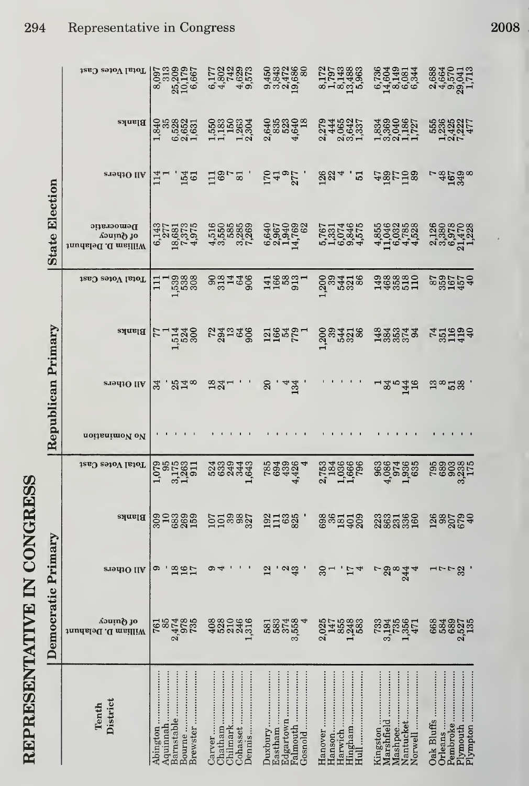| ì<br>こしょく<br>.<br>ג) |
|----------------------|
|                      |
|                      |
|                      |
|                      |
|                      |
|                      |
|                      |
| ו<br>ון              |
|                      |
| í                    |
|                      |

|                       | Total Votes Cast                               | 8,097<br>313<br>25,209<br>10,179<br>6,667                                | 0.170230<br>0.80230<br>0.4 4.9                        | 00450<br>00457086<br>0004686<br>00000                  |                                                                      | 6736<br>0498144<br>04965344<br>0606                       | 26888<br>266570413<br>2850413<br>28513                    |
|-----------------------|------------------------------------------------|--------------------------------------------------------------------------|-------------------------------------------------------|--------------------------------------------------------|----------------------------------------------------------------------|-----------------------------------------------------------|-----------------------------------------------------------|
|                       | Blanks                                         | $1,840$<br>$6,528$<br>$6,652$<br>$1,631$                                 | 111 121 2022 402<br>1222 2022 402<br>2022 402 403 404 |                                                        | 02460257<br>02406403<br>0240602                                      | 1334004874<br>133004877<br>13300477                       | 55882015<br>5882015<br>5017<br>5017                       |
|                       | sion <sub>10</sub> IIA                         | 15d<br>$\frac{14}{1}$                                                    | $118$ $-12$ $-11$                                     |                                                        | $5495$ , $894.2$                                                     | 881798                                                    | <b>99538</b>                                              |
| <b>State Election</b> | Democratic<br>of Quincy<br>William D. Delahunt | $6,143$<br>$277$<br>$2951$<br>$7957$<br>$795$<br>$49$<br>$6975$<br>$795$ | 1558588<br>1558888<br>155888                          | 640<br>0967<br>0940<br>0940<br>082<br>14,762           | 5,787465<br>5,877465<br>5,82465                                      | $4,855$<br>11,046<br>11,032<br>4,522<br>4,4               | 2380<br>2380<br>2380<br>23422<br>2342                     |
|                       | Total Votes Cast                               | $11 - 2888$<br>$1.5888$                                                  |                                                       |                                                        | 130838                                                               | $1468880$<br>$146800$<br>$110$                            | 889548                                                    |
|                       | Blanks                                         | $\frac{1500}{1500}$                                                      |                                                       |                                                        | $533238$ $29357$ $293338$ $233337$<br>$233333$<br>$23333$<br>$23333$ |                                                           | <b>751990</b><br>P51990                                   |
| Republican Primary    | <b>RI9d10 IIA</b>                              | .818<br>34                                                               | $33 - 1$ , $3 - 3$ , $3 - 1$ , $3 - 2$                |                                                        |                                                                      |                                                           | $13\degree 23$                                            |
|                       | noitsnimoV oV                                  |                                                                          |                                                       |                                                        |                                                                      |                                                           |                                                           |
|                       | Total Votes Cast                               | 1.852911<br>0.952911<br>0.952911                                         | 23343<br>23443<br>2345                                | 9834426<br>6934426<br>4426                             | 2753666<br>275666<br>275666                                          | 06074696<br>06074696<br>06074                             |                                                           |
|                       | <b>Blanks</b>                                  | 83<br>889<br>159<br>309<br>$\overline{10}$                               | 552882                                                | 192<br>63<br>825                                       | 8894728                                                              | <b>335350</b><br>888359                                   | <b>282529</b>                                             |
|                       | eradiO IIA                                     | 2817<br>ග                                                                | ග<br>ᢦ                                                | $\frac{2}{3}$<br>$^{12}$                               | ౚ<br>17<br>4<br>$\overline{ }$                                       | 29<br>244<br>r<br>$\infty$                                | 32                                                        |
| Democratic Primary    | de Garing<br>William D. Delahunt               | 2,474<br>978<br>735<br>85<br>761                                         | 488046<br>488245                                      | 581<br>5874<br>585<br>595                              | 20145883<br>0145888<br>202458                                        | 733<br>3,194<br>735<br>1,356<br>471                       | 668<br>5893<br>257<br>251<br>135                          |
|                       | District<br>Tenth                              | Aquinnah<br>Barnstable<br>Brewster<br>Bourne<br>Abington                 | $Chatham$<br>Cohasset<br>Chilmark<br>Carver<br>Dennis | Eastham<br>Falmouth<br>Edgartown<br>Juxbury<br>Gosnold | Hanson<br>Hanover<br>Hingham<br>Harwich<br>Hull                      | Nantucket<br>Mashpee<br>Marshfield<br>Kingston<br>Norwell | Plymouth<br>Plympton<br>Oak Bluffs<br>Pembroke<br>Orleans |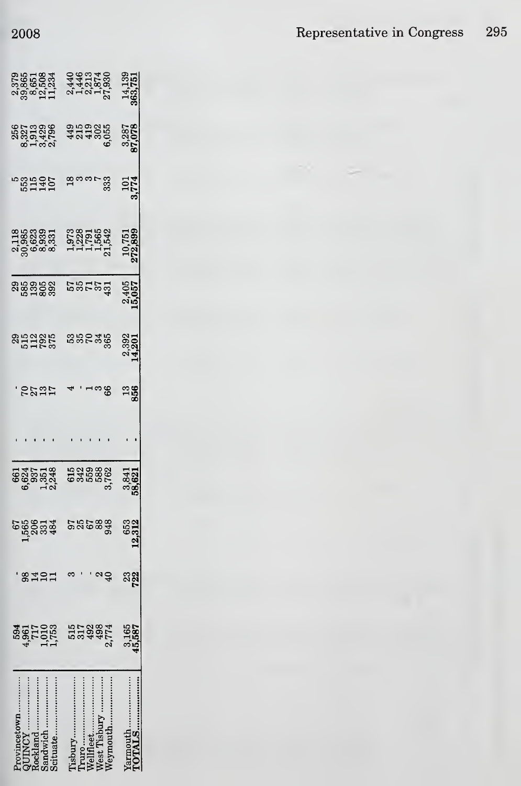|                                                                                                     |                                  | 14,139            |
|-----------------------------------------------------------------------------------------------------|----------------------------------|-------------------|
| 887888<br>889888<br>88988                                                                           | 424866                           | 3,287<br>37,078   |
| rophia<br>Bana<br>Bana                                                                              | 8<br>8<br>8<br>8                 | 101<br>1774       |
| 1185<br>1980033<br>1980033<br>19800                                                                 | 07801068<br>0785668<br>0775682   | 10,751<br>272,899 |
| 888888                                                                                              | 5<br>2012<br>2013                | 2,4057            |
| <b>852855</b><br>51285                                                                              | 880488                           | 2,392<br>14,201   |
| <b>SEET</b><br>See                                                                                  | ం<br>అ                           | $\frac{13}{856}$  |
|                                                                                                     |                                  |                   |
|                                                                                                     | 030880<br>030880<br>03000        | 3,841<br>58,62    |
| 506<br>506<br>508<br>508                                                                            | 88<br>35 <sub>0</sub><br>948     | 653<br>12,312     |
| 14<br>$\mathbf{a}$<br>္တ<br>$\mathbf{1}$                                                            |                                  | <u>ာရွ</u>        |
| 1,010<br>594<br>4,961<br>717                                                                        | 498<br>2,774<br>555<br>559<br>59 | +5,587            |
| <br>.<br><br>scituate<br><b>rovincetow</b><br>$\n  0$ $\varepsilon$ $k$ $\vert$ $\partial$ $\Omega$ | <br>ellfleet<br><br>est Tisbury  | <br>armouth       |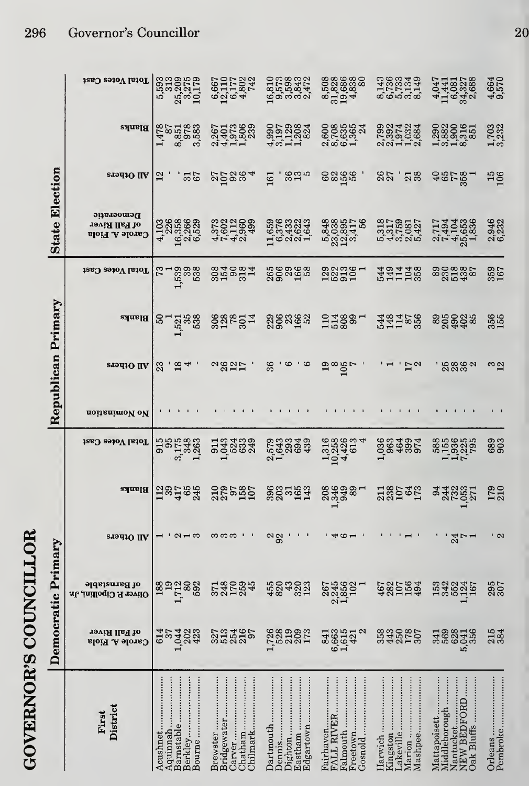|                       | Total Votes Cast                                      | 5,593<br>313<br>25,209<br>3,275<br>10,179               | 6,667<br>12,110<br>6,177<br>4,802<br>742                 | 16,810<br>0,573<br>0,598<br>0,843<br>2,472                                | 8,508<br>31,8286<br>31,9,838<br>4,838<br>4,838             | 1486349<br>156344<br>665549                           | 4441<br>1146327<br>40817<br>408327<br>2088                                     | 4,664<br>9,570                           |
|-----------------------|-------------------------------------------------------|---------------------------------------------------------|----------------------------------------------------------|---------------------------------------------------------------------------|------------------------------------------------------------|-------------------------------------------------------|--------------------------------------------------------------------------------|------------------------------------------|
|                       | Blanks                                                | 1,478<br>8,851<br>978<br>3,583<br>$\infty$              | 2512888<br>255288<br>25528                               |                                                                           | 0085584<br>0085654<br>0066-1                               |                                                       |                                                                                | 1,703<br>3,232                           |
|                       | eradiO IIA                                            | $\frac{31}{67}$<br>$\mathbf{r}$                         | 00084                                                    | 325<br>161                                                                | 856<br>60                                                  | 26<br>$\frac{7}{8}$                                   | 48782                                                                          | $\begin{array}{c} 15 \\ 106 \end{array}$ |
| <b>State Election</b> | Democratic<br>of Fall River<br><b>Carole A. Fiola</b> | 4,103<br>226<br>6,358<br>0,266<br>6,529                 |                                                          | $\begin{array}{c} 11.659 \\ 6.376 \\ 6.433 \\ 2.432 \\ 1.643 \end{array}$ | 53385<br>23385<br>53385<br>5417<br>56<br>53357             | 01700127<br>0100127<br>010010                         | 217494<br>219053<br>22538<br>22538                                             | 2,946<br>6,232                           |
|                       | Total Votes Cast                                      | 539<br>338<br>538                                       | 325937                                                   | 360 298<br>2008<br>2019                                                   | 223501                                                     | 511038                                                | 890887888                                                                      | 359<br>167                               |
| Republican Primary    | Blanks                                                | 521<br>535<br>538<br>ន                                  | <b>SSP 571</b>                                           | ಇಂಜೆ ಹೆಚ್ಚ                                                                | $2788$<br>$-1788$<br>$-1$                                  | 54815856                                              | 890028                                                                         | 356                                      |
|                       | <b>ST941O IIA</b>                                     | $\frac{8}{4}$<br>23                                     | 2827                                                     | 36<br>అ<br>$\mathbf{c}$                                                   | $\frac{9}{8}$<br>$\frac{105}{7}$                           | $\frac{17}{2}$                                        | 3862                                                                           | ິ $\frac{3}{2}$                          |
|                       | noitanimol ol                                         |                                                         |                                                          |                                                                           |                                                            |                                                       |                                                                                |                                          |
|                       | Total Votes Cast                                      | $3,175$<br>$1,263$<br>$1,263$<br>915                    | 133439<br>192333                                         | 1993<br>1999<br>1999<br>1999<br>$\sim$ $-$                                | 1,316<br>10,258<br>426<br>$\div$                           | 0004004<br>0004005<br>000400                          | 11925<br>1926<br>1927<br>1958                                                  | 689<br>903                               |
|                       | <b>Blanks</b>                                         | 138488                                                  | 210<br>279<br>197<br>197                                 | 3885143                                                                   |                                                            | 138545                                                | 343357<br>24857                                                                | 179<br>210                               |
|                       | eradiO ILA                                            | $\alpha$ $\rightarrow$ $\infty$                         | ကကက                                                      | ಇಇ                                                                        | $\overline{\mathcal{A}}$<br>అ                              |                                                       | $24 - 1$                                                                       | ' പ                                      |
|                       | of Barnstable<br>Oliver P. Cipollini, Jr.             | $\overline{19}$<br>1,712<br>80<br>592<br>188            | 248<br><b>170</b><br>259<br>45<br>371                    | 455<br>820<br>43<br>323                                                   | 2,245<br>1,856<br>102<br>267                               | 4821564                                               | 153<br>342<br>552<br>1,124<br>167                                              | 295<br>307                               |
| Democratic Primary    | of Fall River<br><b>Garole A. Fiola</b>               | 1,044<br>202<br>423<br>614<br>57                        | 513<br>254<br>216<br>97<br>327                           | 1,726<br>219<br>209<br>173                                                | 6,663<br>1,615<br>N<br>421<br>841                          | 358<br>443<br>250<br>178<br>307                       | 3588<br>5,041<br>356                                                           | 215<br>384                               |
|                       | District<br>First                                     | Aquinnah<br>Berkley<br>Barnstable<br>Acushnet<br>Bourne | Chatham<br>Carver<br>Chilmark<br>Bridgewater<br>Brewster | Eastham<br>Dighton<br>Dartmouth<br>Edgartown                              | Fairhaven<br>FALL RIVER<br>Falmouth<br>Freetown<br>Gosnold | Marion<br>Kingston<br>Mashpee<br>.akeville<br>Harwich | Mattapoisett<br>Middleborough<br>NEW BEDFORD<br>Nantucket<br><b>Oak Bluffs</b> | Pembroke<br>Orleans                      |

**GOVERNOR'S COUNCILLOR** 

20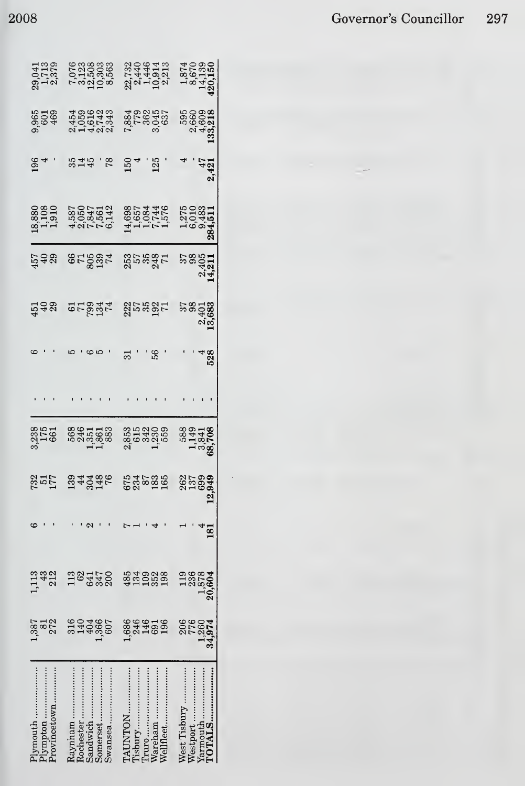$\cdot$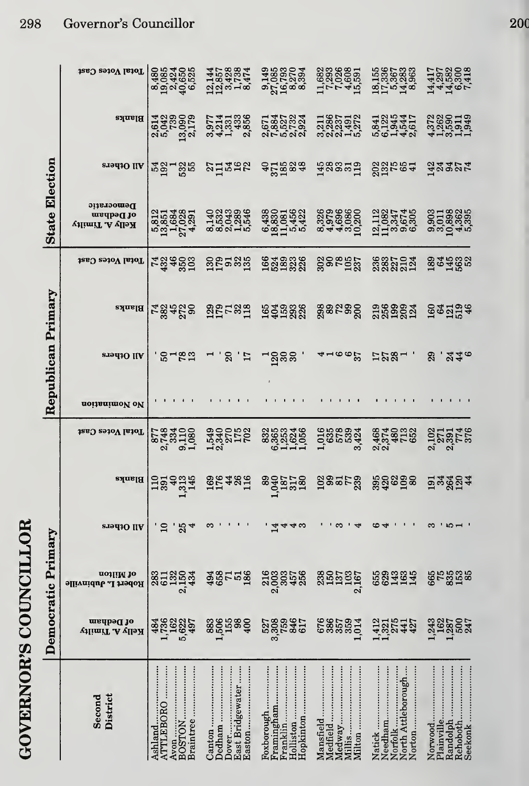|                       | Total Votes Cast                             | 89854955<br>098549555<br>09949555                   | 144857<br>1857888<br>1294734<br>847474                         |                                                                | $\begin{array}{c} 11.682 \\ 7.7026 \\ 7.608 \\ 1.534 \\ 1.51 \end{array}$ | 1556<br>15365<br>175683<br>17563                             | 14758200<br>42958200<br>44262418                                      |
|-----------------------|----------------------------------------------|-----------------------------------------------------|----------------------------------------------------------------|----------------------------------------------------------------|---------------------------------------------------------------------------|--------------------------------------------------------------|-----------------------------------------------------------------------|
|                       | Blanks                                       |                                                     | 0111386<br>0121386<br>0111 20                                  | 225224<br>235252<br>25522                                      | 188512<br>288352<br>200142                                                | <b>8284451</b><br>819445<br>96148                            | 418111                                                                |
|                       | <b>ST9d1O IIA</b>                            | 39785                                               | 21288                                                          | 422834                                                         | Fagand<br>Hagan                                                           | <b>225642</b>                                                | a<br>Tagar                                                            |
| <b>State Election</b> | Democratic<br>of Dedham<br>Kelly A. Timilty  | 5351<br>13,884<br>13,028<br>4,291<br>4,291          |                                                                | 64330<br>183001452<br>1945422<br>64422                         | 826<br>83086<br>8446200                                                   | 1182745<br>1084745<br>110966                                 | 00118025<br>001080905<br>0001045                                      |
|                       | Total Votes Cast                             | <b>739503</b><br>434503                             | 885886                                                         | 649888                                                         | ខ្លួនឧត្តរ                                                                | 332504                                                       | <b>334532</b><br>2019                                                 |
|                       | Blanks                                       | 789800                                              | <b>SPL282</b>                                                  | 1648888                                                        | <b>ន្លួន</b> ឧន្តទ្ត                                                      | 2569924                                                      | 1931346                                                               |
| Republican Primary    | All Others                                   | 5782                                                | 20<br>.<br>17                                                  | ລິສສ                                                           | $4\,$ 90 $\,$                                                             | 1232 .                                                       | 29<br>.440                                                            |
|                       | noitanimoV oV                                |                                                     |                                                                |                                                                |                                                                           |                                                              |                                                                       |
|                       | Total Votes Cast                             | 87,810<br>878310<br>8783<br>$\alpha$<br>ெ்          | 1220102<br>1220102<br>12201                                    | 886846<br>886846                                               | 10188934                                                                  | 8740528<br>454558<br>22                                      | 271146<br>128258<br>23858                                             |
|                       | <b>Blanks</b>                                | <b>Haadia</b><br>Haadia                             | <b>3248518</b>                                                 | 89015180<br>19401190                                           | gaara<br>I                                                                | <b>22222</b><br>22222                                        | $\frac{1}{2}$ $\frac{1}{2}$ $\frac{2}{2}$ $\frac{2}{3}$ $\frac{1}{4}$ |
|                       | All Others                                   | $\overline{10}$<br>$25 + 4$                         | က                                                              | $\mathbf{1}$<br>₩<br>₩                                         | က<br>⇥                                                                    | అ<br>Þ                                                       | $\mathbf{I}$<br>ణ<br>rO                                               |
|                       | notliM <sub>10</sub><br>Robert L. Jubinville | 132<br>2,150<br>434<br>283<br>611                   | <b>385588</b>                                                  | $2,003$<br>$2,003$<br>$303$<br>457                             | $238$<br>150<br>157<br>2,167<br>2,167                                     | 683385                                                       | <b>655558</b><br>65858                                                |
| Democratic Primary    | of Dedham<br>Kelly A. Timilty                | 484<br>1,736<br>162<br>5,622<br>497                 | 883<br>1,506<br>155<br>158<br>400                              | 527<br>3,308<br>3,589<br>517<br>617                            | 676<br>386<br>357<br>359<br>1,014                                         | 142244211                                                    | 18250247<br>1,243                                                     |
|                       | District<br>Second                           | Braintree<br>ATTLEBORO<br>Avon<br>BOSTON<br>Ashland | Dedham<br><b>East Bridgewater</b><br>Canton<br>Dover<br>Easton | Holliston<br>Foxborough<br>Framingham<br>Franklin<br>Hopkinton | Medfield<br>Medway<br>Millis<br>Mansfield<br>Milton                       | Needham<br>North Attleborough<br>Natick<br>Norfolk<br>Norton | <br>Rehoboth<br>Norwood<br>Seekonk<br>Plainville<br>Randolph          |

## 298 Governor's Councillor

**GOVERNOR'S COUNCILLOR**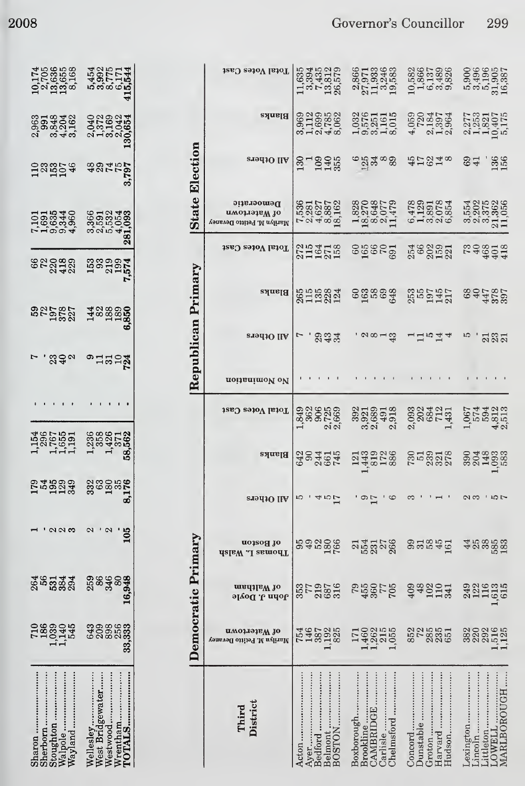|    | 1058658<br>17066568<br>1106558<br>11061             | 5454<br>5992775<br>69775<br>415544<br>415544 |
|----|-----------------------------------------------------|----------------------------------------------|
|    | 853308<br>8638010<br>86300                          | မ္မာ<br>၁၈၁၉၃၅<br>၁၈၁၉ <b>၁</b><br>၁၁၁၉      |
|    | 1233746<br>125274                                   | 1927<br>2017<br>2018                         |
|    | r 1999<br>1999<br>1999                              |                                              |
|    | 82089<br>823423                                     | 1990014<br>1991<br>1991                      |
|    | 3252523<br>22525                                    | 14889850<br>1889850<br>6850                  |
|    | 292                                                 | $^{\circ}$ 12522                             |
|    |                                                     |                                              |
|    | $1,386$<br>$1,660$<br>$1,661$<br>$1,661$<br>$1,661$ | 1 2362<br>1 3525<br>1 362<br>1 362           |
|    | <b>Exagas</b>                                       | 33<br>28 10 28<br>30 11 30                   |
|    |                                                     | $\overline{105}$                             |
| 36 | 5334                                                | 346                                          |
|    | 545<br>.,039<br>1,140                               | 256<br>ಇ೦೦<br>ಅ೦೦<br>ಅ೧                      |
|    |                                                     | lleslev                                      |

|                       | Total Votes Cast                                         | $\begin{array}{c} 11.635 \\ -3.435 \\ -1.534 \\ -1.5579 \\ 1.365 \\ \end{array}$ | 27733683<br>277334683<br>1134683                                                         | $\begin{smallmatrix} 10.582 \\ 1.866 \\ 1.489 \\ 6.537 \\ 6.9326 \\ \end{smallmatrix}$ | 5,496<br>5,496<br>5,5965<br>5,5957<br>16,387                            |
|-----------------------|----------------------------------------------------------|----------------------------------------------------------------------------------|------------------------------------------------------------------------------------------|----------------------------------------------------------------------------------------|-------------------------------------------------------------------------|
|                       | <b>Blanks</b>                                            | 0020550<br>002050<br>003050                                                      | $1,030$<br>$0,570$<br>$0,010$<br>$0,015$<br>$0,015$<br>$0,015$                           | 4<br>052357<br>4<br>013964                                                             | 2,277<br>10,407<br>10,407<br>5,175                                      |
| <b>State Election</b> | All Others                                               | 37<br>1945<br>1945                                                               | $^{6}$ $^{14}_{21}$ $^{10}_{30}$ $^{10}_{80}$                                            | おけ248                                                                                  | 8구<br>6구<br>136                                                         |
|                       | Democratic<br>атоглэтыү 10<br>Marilyn M. Petitto Devaney | 7,5387<br>0,2827<br>0,4887<br>0,387<br>0,391<br>0,391                            | $\begin{array}{c} 1.828 \\ 1.87048 \\ 1.89049 \\ 8.077 \\ 1.179 \\ 1.179 \\ \end{array}$ | 61291854                                                                               | $\begin{array}{c} 3.554 \\ 3.2075 \\ 2.3739 \\ 2.110 \\ 11 \end{array}$ |
|                       | Total Votes Cast                                         | 219418<br>21952<br>21921                                                         | en 280<br>September                                                                      | 54<br>0000001<br>0000101                                                               | 202012<br>2020<br>2020                                                  |
| Republican Primary    | <b>Blanks</b>                                            | 855884<br>813884                                                                 | egagag<br>Gg                                                                             | 255<br>2507<br>2117<br>2117                                                            | 787569<br>644599                                                        |
|                       | <b>STALLO IIA</b>                                        | 234                                                                              | ' ଚାଷ୍ଟ୍ର                                                                                | $\Box$ $\Box$ $\Box$ $\Box$ $\Box$                                                     | 5.587                                                                   |
|                       | noitanimoV oV                                            |                                                                                  |                                                                                          |                                                                                        |                                                                         |
|                       | Total Votes Cast                                         |                                                                                  | 3921301303<br>39263130<br>302030                                                         | 2,093<br>2024<br>2034<br>1,431<br>1,431                                                | 1,0674<br>5,594<br>4,812<br>4,213                                       |
|                       | Blanks                                                   | 622415<br>624645                                                                 | 14481288                                                                                 | 2019218                                                                                | 00148888<br>0014988<br>1025                                             |
|                       | 219410 IIA                                               |                                                                                  | $\frac{9}{17}$                                                                           |                                                                                        | രു ത                                                                    |
|                       | of Boston<br>Thomas L. Nalsh                             | 992006                                                                           | 55858                                                                                    | 9558519                                                                                | 458558                                                                  |
|                       | madilaW to<br>John J. Doyle                              | 357976<br>2007<br>2008                                                           | 502<br>1985<br>1987                                                                      | 48<br>1011<br>113<br>409                                                               |                                                                         |
| Democratic Primary    | n Watertown<br>Marilyn M. Petitto Devaney                | 1546<br>1465<br>13825<br>13825                                                   | 14602155<br>14602155<br>11402155                                                         | 85285518518                                                                            |                                                                         |
|                       | District<br>Third                                        | Belmont<br>BOSTON<br>Bedford<br>Acton<br>Ayer                                    | CAMBRIDGE.<br>Boxborough<br>Chelmsford<br>Brookline<br>Carlisle                          | Concord<br>Dunstable.<br>Hudson<br>Harvard<br>Groton                                   | MARLBOROUGH<br>Lexington<br>Littleton<br>LOWELL<br>mcoln                |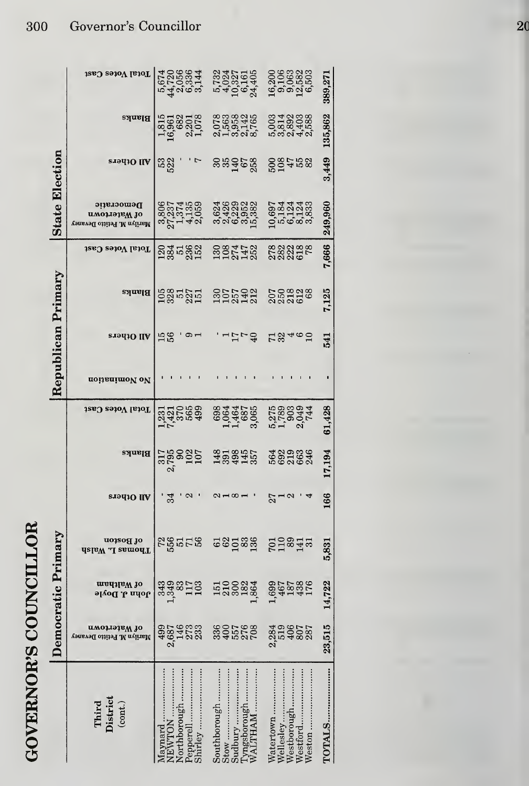|                       | Total Votes Cast                                         | 574<br>4470566<br>440667<br>40667                                   | 5,0237<br>5,02375<br>5,023755<br>5,024,405               | 1999<br>1998<br>1999<br>1999<br>1999                       | 389,271 |
|-----------------------|----------------------------------------------------------|---------------------------------------------------------------------|----------------------------------------------------------|------------------------------------------------------------|---------|
|                       | Blanks                                                   | $\begin{array}{c} 1.815 \\ 16,963 \\ 2.078 \\ 1.078 \\ \end{array}$ | 0783846<br>076546<br>016016                              | 00140108<br>00100108<br>001010                             | 135,862 |
|                       | <b>siadio</b> IIA                                        | 53<br>522                                                           | <b>sedere</b><br>Sedere                                  | <b>2007529</b>                                             | 3,449   |
| <b>State Election</b> | Democratic<br>имортэзвW 10<br>Marilyn M. Petitto Devaney |                                                                     |                                                          |                                                            | 249,960 |
|                       | Total Votes Cast                                         | 284582                                                              | 2007452                                                  | 888888<br>88855                                            | 7,666   |
| Republican Primary    | <b>Blanks</b>                                            | <b>1985</b><br>285<br>285<br>251                                    | 1307<br>1957<br>1942                                     | 050828<br>050828                                           | 7,125   |
|                       | All Others                                               | $\frac{56}{56}$                                                     | きょうし                                                     | 12460                                                      | 541     |
|                       | noitsnimoV oV                                            |                                                                     |                                                          |                                                            |         |
|                       | Total Votes Cast                                         | 12312689<br>145689                                                  | 6984<br>1964<br>11655<br>3065                            | n 1<br>2003<br>2004<br>2004<br>2004                        | 61,428  |
|                       | Blanks                                                   | 319802107<br>3002107                                                | $13,000$<br>$13,000$<br>$15,000$                         |                                                            | 17,194  |
|                       | <b>SI943O IIV</b>                                        | 34<br>$\boldsymbol{\mathsf{N}}$                                     | $\alpha$ $\rightarrow$ $\infty$ $\rightarrow$            | $27 - 2$                                                   | 166     |
|                       | uo1sog Jo<br>Thomas L. Walsh                             | <b>Right</b> is                                                     | <b>G</b> & Da & B                                        | <b>pright</b><br><b>pright</b><br><b>pright</b>            | 5,831   |
| Democratic Primary    | of Waltham<br>John J. Doyle                              | 89821999<br>89821999<br>8982199                                     | 151000234<br>15200234<br>1,895                           | 1982<br>1982<br>1983<br>1983                               | 14,722  |
|                       | пиоттэля до<br>Marilyn M. Petitto Devaney                | $4987$<br>$2,693$<br>$2,733$<br>$2,83$                              | 33607688                                                 | 23498275387                                                | 23,515  |
|                       | Third<br>District<br>$\left( \text{cont.} \right)$       | orthborough<br>nirley<br>aynard<br>epperell<br>EWTON                | outhborough.<br>ngsborough<br>LTHAM<br><sub>Yuudpi</sub> | atertown<br>Vellesley<br>Vestborough.<br>estford<br>eston. | OTALS   |

**GOVERNOR'S COUNCILLOR** 

## Governor's Councillor 300

 $\overline{20}$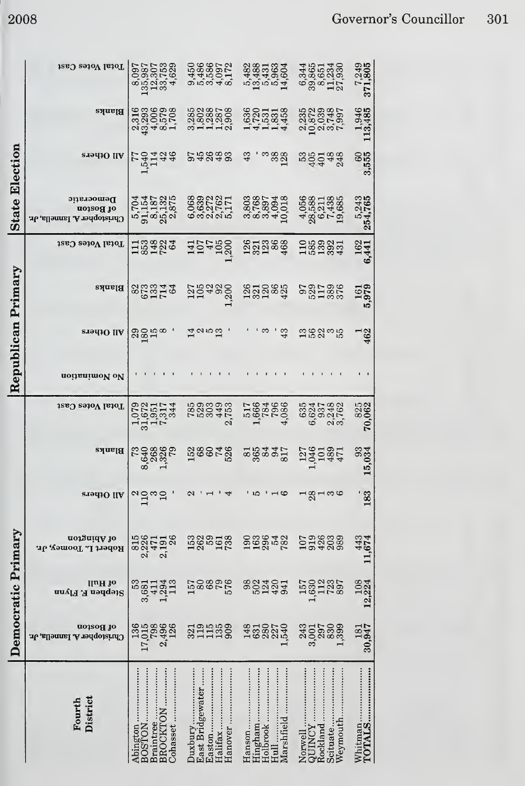|                       | Total Votes Cast                                        | $\begin{array}{r} 8.097 \\ 135,987 \\ 12.307 \\ 33,753 \\ 33,753 \\ 4,629 \end{array}$ | 0000772<br>44000772<br>000040                                                | 5482<br>19435<br>1945<br>1954<br>1954                        | $\begin{array}{c} 6344 \\ 63865 \\ 393433 \\ 2134 \\ 2734 \\ \end{array}$  | 7,249<br>371,805     |
|-----------------------|---------------------------------------------------------|----------------------------------------------------------------------------------------|------------------------------------------------------------------------------|--------------------------------------------------------------|----------------------------------------------------------------------------|----------------------|
|                       | Blanks                                                  | $4,006$<br>$8,579$<br>$1,708$<br>316<br>293<br>43,<br>$\mathbf{c}$                     |                                                                              | 141144                                                       |                                                                            | 1,946<br>113,485     |
|                       | <b>SI9410 IIA</b>                                       | 1914<br>1914<br>1914                                                                   | 55883                                                                        | 43<br>ာ<br>အစ္က<br>မ                                         | 595488                                                                     | 8,555<br>09          |
| <b>State Election</b> | Democratic<br>of Boston<br>Christopher A. Iannella, Jr. | 5,704<br>9,153<br>9,187<br>2,875<br>2,875                                              | 889221<br>0621611<br>6622111                                                 | 803<br>080748<br>080548<br>0804401                           | $\begin{array}{c} 4.056 \\ 2.021438 \\ 2.021438 \\ 6.04385 \\ \end{array}$ | 5,243<br>254,765     |
|                       | Total Votes Cast                                        | 133426                                                                                 | 157458                                                                       | 1251868<br>1251868                                           | 1889831<br>188983                                                          | <b>162</b><br>6,441  |
| Primary               | Blanks                                                  | 853748                                                                                 | 1254980<br>1254980<br>125                                                    | <b>222822</b><br>22282                                       | 9212826<br>28558                                                           | 161<br>1979<br>IJ    |
|                       | eradiO IIA                                              | $\frac{325}{2}$                                                                        | $\overline{14}$<br><b>QIDE</b>                                               | 43                                                           | 158355                                                                     | 462                  |
| Republican            | noitsnimol ol                                           |                                                                                        |                                                                              |                                                              |                                                                            |                      |
|                       | Total Votes Cast                                        | 31,672<br>1,951<br>7,317<br>344<br>1,079                                               | 7833<br>7833<br>449<br>2,753                                                 | 517668<br>1984<br>1986<br>4986                               | 635<br>17532<br>185460<br>1955                                             | <b>825</b><br>70,062 |
|                       | Blahks                                                  | 8.638<br>8.888<br>8.732<br>$\mathbb{S}^2$                                              | 138078                                                                       |                                                              | 1045<br>1018<br>471<br>127                                                 | 15,034               |
|                       | s.təqiQ IIA                                             | $n \sum_{i=1}^{\infty}$                                                                | $\sim$                                                                       | - מ<br>9 →                                                   | ⊣∞಼⊣ಣಅ<br>$\mathbf{\Omega}$                                                | 183                  |
|                       | of Abington<br>Robert L. Toomey, Jr.                    | 2,226<br>815<br>26<br>471<br>2,191                                                     | 1582<br>1882<br>188                                                          | 000042<br>000042                                             | 198898<br>00888                                                            | 443<br>11,674        |
|                       | lluH 10<br>Stephen F. Flynn                             | 33<br>1,294<br>113<br>3,681<br>411                                                     | 1578885                                                                      | 3023043                                                      | $1,630$<br>$128$<br>$723$<br>$897$<br>157                                  | 12,224               |
| Democratic Primary    | of Boston<br>Christopher A. Iannella, Jr.               | 17,015<br>798<br>2,496<br>126<br>136                                                   | 3211390<br>311390                                                            | 148<br>6322740<br>14541                                      | 243<br>$3,001$<br>$297$<br>$1,399$<br>$1,399$                              | 30,947               |
|                       | District<br>Fourth                                      | BROCKTON<br>Abington<br>BOSTON<br>Braintree<br>Cohasset                                | East Bridgewater<br>Hanover<br>$\operatorname{Hailfix}$<br>Duxbury<br>Easton | Hingham<br>Holbrook<br>Marshfield<br>Hanson<br>$_{\rm Hull}$ | Scituate<br>Weymouth<br>Rockland<br><b>ADINCY</b><br>Norwell               |                      |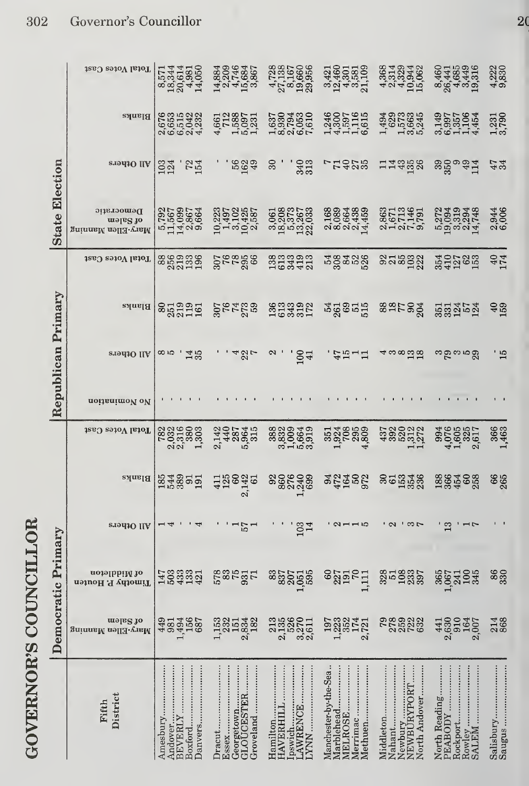|                       | Total Votes Cast                            | 8,571<br>18,344<br>18,981<br>4,050<br>14,050          | 142452827<br>1234834<br>1453867                                                       | $\begin{array}{c} 4,728 \\ 27,138 \\ 8,1660 \\ 19,956 \\ 29,956 \\ \end{array}$ | $\begin{array}{c} 3,421 \\ 12,460 \\ 4,301 \\ 4,581 \\ 3,109 \\ \end{array}$ | $\begin{array}{c} 4.368 \\ 2.314 \\ 2.4324 \\ 10.944 \\ 15.062 \end{array}$ | 8441<br>26441<br>26449<br>364316                                 | 4,222<br>9,830      |
|-----------------------|---------------------------------------------|-------------------------------------------------------|---------------------------------------------------------------------------------------|---------------------------------------------------------------------------------|------------------------------------------------------------------------------|-----------------------------------------------------------------------------|------------------------------------------------------------------|---------------------|
| <b>State Election</b> | Blanks                                      | $6,515$<br>$2,042$<br>$4,232$<br>676<br>653<br>လပ်    | $4.58877128871.50971.51$                                                              | 2,794<br>2,053<br>7,610<br>1,637<br>8,930                                       | $1,3000\n\n1,4597\n\n1,597\n\n6,615\n\n6,615$                                | 1 1999<br>1995<br>1999<br>1999                                              | 2257<br>19957454<br>200714                                       | 1,231<br>3,790      |
|                       | s.iou10 IIV                                 | <b>724</b><br>$\frac{103}{124}$                       | 5624                                                                                  | 30 <sub>o</sub><br>340                                                          | <b>7925</b>                                                                  | 14358                                                                       | 350<br>350<br>9 9 4<br>9 4 1                                     | $47$<br>34          |
|                       | Democratic<br>nels to<br>Mary-Ellen Manning | 5,792<br>11,50007<br>11,50007<br>5,8664<br>9,900      | $\begin{array}{c} 10.223 \\ 1.497 \\ 1.497 \\ 1.425 \\ 1.425 \\ 2.587 \\ \end{array}$ | 3,061<br>18,2757<br>19,267<br>19,283                                            | 0894389<br>089439<br>080044                                                  | 8671491<br>8671491<br>21277                                                 | 5,272<br>19,094<br>3,319<br>2,294<br>14,748                      | 2,944<br>6,006      |
|                       | Total Votes Cast                            | 8869536<br>251396                                     | 307888                                                                                | 333933<br>23342                                                                 | 58328                                                                        | <b>SHS22</b>                                                                | 354<br>352<br>353<br>353                                         | 40<br>174           |
| Republican Primary    | <b>Blanks</b>                               | 85399151                                              | <b>201722</b><br>2017<br>2018                                                         | 363392<br>193351                                                                | 3g8555                                                                       | <b>887588</b>                                                               | 553454                                                           | 40<br>159           |
|                       | stadio IIA                                  | ထေးက<br>14.5                                          | 48L                                                                                   | 100<br>$\boldsymbol{\mathsf{c}}$                                                | <b>. わおしけ</b>                                                                | 4 ကထက္ထက္ထ                                                                  | ယင်းကယ်                                                          | $\frac{15}{15}$     |
|                       | noitsnimoV oV                               |                                                       |                                                                                       |                                                                                 |                                                                              |                                                                             |                                                                  |                     |
|                       | Total Votes Cast                            | 782<br>032<br>031603<br>0.51803<br>0.61<br>0.61       | 440<br>587<br>5,964<br>5,915<br>2,142                                                 | 388                                                                             | $\begin{array}{c} 351 \\ 324 \\ 1,924 \\ 295 \\ 4,809 \\ \end{array}$        | 4300227                                                                     | 994<br>4,076<br>4,085<br>2,617<br>2,617                          | 366<br>1,463        |
|                       | <b>Blanks</b>                               | 184891911                                             | $\frac{125}{60}$<br>2,142<br>61<br>$\overline{41}$                                    | <b>986499</b><br>986499                                                         | 3545023                                                                      | <b>SG5346</b><br>55546                                                      | 1864688                                                          | 66<br>265           |
|                       | erodiO IIA                                  | $\overline{4}$                                        | $\frac{1}{57}$<br>$\overline{\phantom{0}}$                                            | 103<br>14                                                                       | ' aung                                                                       | ' പ<br>$\sqrt{2}$                                                           | $\mathbf{C}$<br>−                                                |                     |
|                       | of Middleton<br>Timothy P. Houten           | 503<br>433<br>133<br>147                              | $75$<br>931<br>578<br>71                                                              | $1,051$<br>$595$<br>837<br>837<br>207                                           | $\mathcal{S}^{\mathcal{O}}$<br>$227$<br>$79$<br>$70$<br>1,111                | $\frac{328}{51}$<br>108<br>2337                                             | $365$<br>$1,067$<br>100<br>345<br>241                            | 86<br>330           |
| Democratic Primary    | nels to<br>Mary-Ellen Manning               | 1,494<br>156<br>687<br>449<br>981                     | 1,153<br>232<br>2,834<br>151<br>182                                                   | 526<br>213<br>2,135<br>3,270<br>2,611                                           | 1,223<br>$\frac{352}{174}$<br>2,721<br>197                                   | 79                                                                          | 2,630<br>910<br>164<br>441<br>2,007                              | 214                 |
|                       | District<br>Fifth                           | Amesbury<br>Andover<br>BEVERLY<br>Boxford<br>Danvers. | GLOUCESTER<br>Essex<br>Georgetown<br>Dracut<br>Groveland                              | Ipswich<br><b>AWRENCE</b><br><b>HAVERHILI</b><br>Hamilton<br><b>NNV1</b>        | Manchester-by-the-Sea.<br>MELROSE<br>Merrimac<br>Marblehead<br>Methuen       | Newbury<br>NEWBURYPORT<br>Nahant<br>North Andover<br>Middleton              | North Reading<br>PEABODY<br>Rockport.<br>Rowley<br><b>NALLAS</b> | Salisbury<br>Saugus |

## Governor's Councillor 302

GOVERNOR'S COUNCILLOR

 $\overline{2}$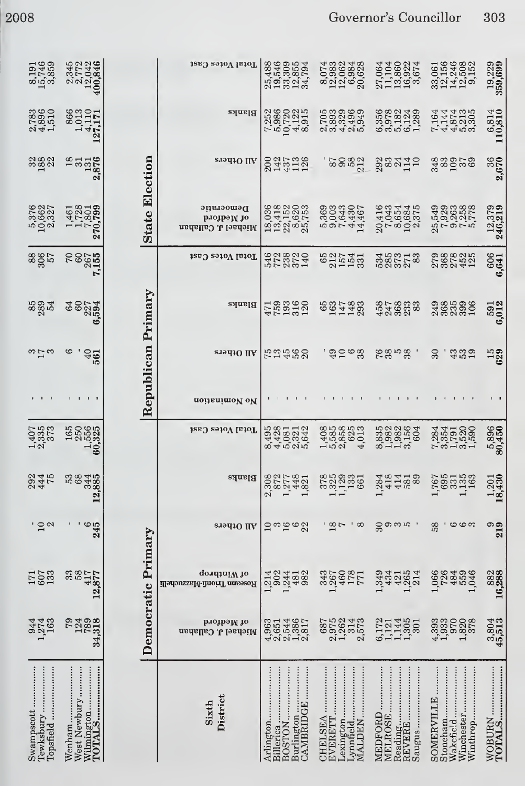| 8,191<br>15,746<br>3,859             | 2,345<br>2,772<br>12,042<br>400,846                                        |                       | Total Votes Cast                                | 25,488<br>19,5309<br>19,855<br>19,794<br>34,794                              | 8,074<br>12,0684<br>2,0684<br>2,0628                                                                                                                                                                                                                                                                                                                            | $\begin{array}{c} 13,860 \\ 16,922 \\ 3,674 \end{array}$<br>11,104<br>,064<br>27 | 33,061<br>12,246<br>14,508<br>14,508<br>9,152                     | 19,229<br>359,699   |
|--------------------------------------|----------------------------------------------------------------------------|-----------------------|-------------------------------------------------|------------------------------------------------------------------------------|-----------------------------------------------------------------------------------------------------------------------------------------------------------------------------------------------------------------------------------------------------------------------------------------------------------------------------------------------------------------|----------------------------------------------------------------------------------|-------------------------------------------------------------------|---------------------|
| $2,783$<br>$4,896$<br>$1,510$        | $\begin{array}{c} 866 \\ 1,013 \\ 4,110 \\ 27,171 \end{array}$<br>$\equiv$ |                       | Blanks                                          | 1986<br>1980<br>19723<br>19815<br>6,915<br>,252<br>$\overline{\phantom{a}}$  |                                                                                                                                                                                                                                                                                                                                                                 | 55822439<br>0,9782438<br>0,97050                                                 | 1944<br>145219<br>14459                                           | 6,814<br>110,810    |
| 3882<br>289                          | 1871<br>1957<br>1958<br>N                                                  |                       | eradiO llA                                      | $143700$<br>$14310$<br>200                                                   | <b>25232</b>                                                                                                                                                                                                                                                                                                                                                    | 22222222                                                                         | 330058<br>380058                                                  | 2,670               |
| 5,376<br>10,662<br>2,327             | 1,461<br>1,728<br>1,801<br>10,799<br>27                                    | <b>State Election</b> | Democratic<br>рлојрэм јо<br>Michael J. Callahan | $\begin{array}{c} 18,036 \\ 13,418 \\ 22,152 \\ 8,620 \\ 25,753 \end{array}$ | 5933007<br>5933007<br>59330744                                                                                                                                                                                                                                                                                                                                  | 20,416<br>7,043<br>8,654<br>8,684<br>2,375                                       | 25,549<br>7,9263<br>7,9258<br>5,7778<br>5,778                     | 12,379<br>246,219   |
| 306<br>306                           | 2007<br>2007<br>2007<br>Ņ                                                  |                       | Total Votes Cast                                | 528820<br>528529                                                             | 627441832                                                                                                                                                                                                                                                                                                                                                       | 5387783528                                                                       |                                                                   | 6,641               |
| 889<br>284                           | <b>88274</b><br>88274<br>అ                                                 | Republican Primary    | <b>Blahks</b>                                   | $47,000$<br>$759,000$<br>$759,000$                                           | 65<br>067789<br>07128                                                                                                                                                                                                                                                                                                                                           | 307833<br>426338                                                                 |                                                                   | 591<br>6,012        |
| $\omega\mapsto\omega$                | అ<br>$^{40}_{95}$                                                          |                       | siəqi0 IIV                                      | 52588                                                                        | ' ဒ္မာဓု ဗ္က                                                                                                                                                                                                                                                                                                                                                    | 8858<br>685                                                                      | $\mathcal{L}$<br><b>339</b>                                       | 15<br>629           |
| $\overline{\phantom{a}}$<br>- 11     | $1 \quad 1 \quad 1 \quad 3$                                                |                       | noitsnimoV oV                                   | $\blacksquare$<br>$\blacksquare$                                             | $\mathbf{1}$                                                                                                                                                                                                                                                                                                                                                    | .                                                                                | $\blacksquare$<br>$\mathbf{1}$<br>$1 \quad 1$                     | $\mathbf{r}$        |
| $\frac{1,407}{2,335}$                | $\begin{array}{c} 165 \\ 250 \\ 1,556 \\ \textbf{60,325} \end{array}$      |                       | Total Votes Cast                                | 958112<br>4408142<br>6400042                                                 | $\begin{array}{c} 1.530 \\ + .5300 \\ + .5300 \\ + .5300 \\ + .5300 \\ + .5300 \\ + .5300 \\ + .5300 \\ + .5300 \\ + .5300 \\ + .5300 \\ + .5300 \\ + .5300 \\ + .5300 \\ + .5300 \\ + .5300 \\ + .5300 \\ + .5300 \\ + .5300 \\ + .5300 \\ + .5300 \\ + .5300 \\ + .5300 \\ + .5300 \\ + .5300 \\ + .5300 \\ + .5300 \\ + .5300 \\ + .5300 \\ + .5300 \\ + .5$ | 832286483884                                                                     | 7357500<br>7357500<br>737500                                      | 5,896<br>80,450     |
| 294<br>445<br>75                     | 5885<br>5885<br>5885<br>12                                                 |                       | Blanks                                          | 00017401<br>00014021<br>N                                                    |                                                                                                                                                                                                                                                                                                                                                                 | 284<br>294458<br>29458                                                           | 76931583<br>76931583                                              | 201<br>18           |
| $\circ \sim$                         | ٠<br>$\mathbf{1}$<br>$\frac{6}{245}$                                       |                       | saadiO IIA                                      | 16<br>G<br>$\frac{10}{10}$<br>22                                             | $\frac{18}{7}$<br>$\overline{1}$<br>$\infty$                                                                                                                                                                                                                                                                                                                    | $\mathfrak{g}$<br>ာ<br>တယ                                                        | 58<br>٠<br>ဖ<br>ဇာ ဇာ                                             | $\frac{9}{219}$     |
| $\frac{171}{607}$                    | 33<br>58<br>417<br>877<br>$\overline{12}$                                  | Democratic Primary    | qondiniW 10<br>illədəusxaM-ilmoriT amsəzoAl     | 1,244<br>481<br>982<br>902<br>1,214                                          | 460<br><b>178</b><br>771<br>343<br>267                                                                                                                                                                                                                                                                                                                          | ,349<br>434<br>,265<br>421<br>214                                                | ,066<br>726<br>484<br>559<br>046                                  | 16,288              |
| 944<br>274<br>163                    | 79<br>124<br>789<br>318<br>34                                              |                       | рлојрәју јо<br>Michael J. Callahan              | 42631446517<br>654466<br>4235617                                             | $687$<br>$1,975$<br>$1,262$<br>314<br>573<br>$\mathbf{c}$                                                                                                                                                                                                                                                                                                       | $1,305$<br>$1,305$<br>172<br>1,121<br>301<br>6,                                  | $4,393$<br>$1,933$<br>970<br>1,820<br>378                         | $3,804$<br>$45,513$ |
| Tewksbury<br>Swampscott<br>Topsfield | <br>West Newbury<br>Wenham                                                 |                       | District<br>Sixth                               | Burlington<br>CAMBRIDGE<br>Arlington<br>Billerica<br><b>BOSTON</b>           | .exington<br>CHELSEA<br>EVERETT<br>MALDEN<br>ynnfield                                                                                                                                                                                                                                                                                                           | REVERE<br>MEDFORD<br>MELROSE<br>Reading<br>Saugus                                | SOMERVILLE<br>Stoneham<br><br>Winchester<br>Winthrop<br>Wakefield |                     |